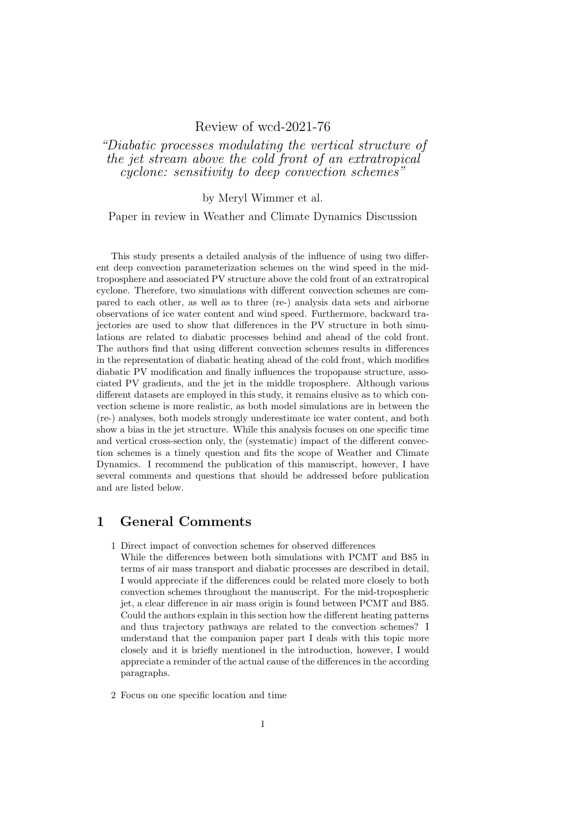## Review of wcd-2021-76

"Diabatic processes modulating the vertical structure of the jet stream above the cold front of an extratropical cyclone: sensitivity to deep convection schemes"

by Meryl Wimmer et al.

Paper in review in Weather and Climate Dynamics Discussion

This study presents a detailed analysis of the influence of using two different deep convection parameterization schemes on the wind speed in the midtroposphere and associated PV structure above the cold front of an extratropical cyclone. Therefore, two simulations with different convection schemes are compared to each other, as well as to three (re-) analysis data sets and airborne observations of ice water content and wind speed. Furthermore, backward trajectories are used to show that differences in the PV structure in both simulations are related to diabatic processes behind and ahead of the cold front. The authors find that using different convection schemes results in differences in the representation of diabatic heating ahead of the cold front, which modifies diabatic PV modification and finally influences the tropopause structure, associated PV gradients, and the jet in the middle troposphere. Although various different datasets are employed in this study, it remains elusive as to which convection scheme is more realistic, as both model simulations are in between the (re-) analyses, both models strongly underestimate ice water content, and both show a bias in the jet structure. While this analysis focuses on one specific time and vertical cross-section only, the (systematic) impact of the different convection schemes is a timely question and fits the scope of Weather and Climate Dynamics. I recommend the publication of this manuscript, however, I have several comments and questions that should be addressed before publication and are listed below.

## 1 General Comments

- 1 Direct impact of convection schemes for observed differences
- While the differences between both simulations with PCMT and B85 in terms of air mass transport and diabatic processes are described in detail, I would appreciate if the differences could be related more closely to both convection schemes throughout the manuscript. For the mid-tropospheric jet, a clear difference in air mass origin is found between PCMT and B85. Could the authors explain in this section how the different heating patterns and thus trajectory pathways are related to the convection schemes? I understand that the companion paper part I deals with this topic more closely and it is briefly mentioned in the introduction, however, I would appreciate a reminder of the actual cause of the differences in the according paragraphs.
- 2 Focus on one specific location and time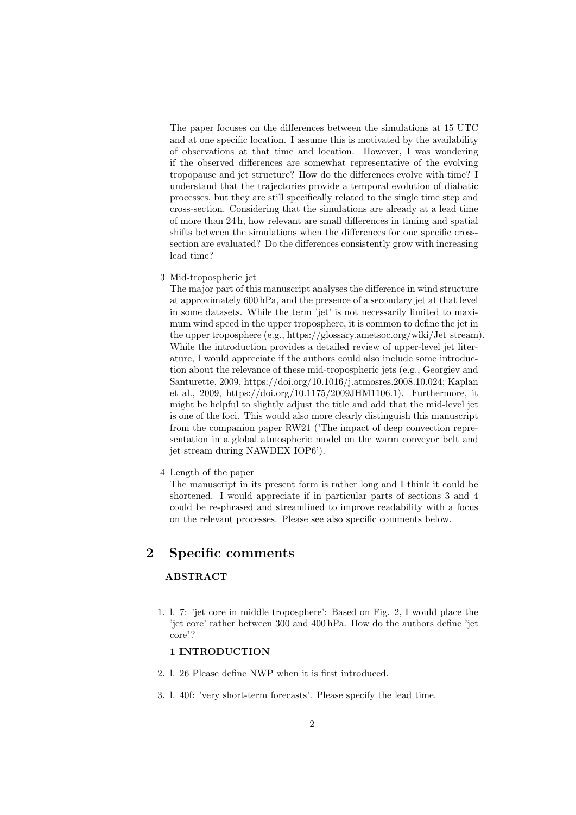The paper focuses on the differences between the simulations at 15 UTC and at one specific location. I assume this is motivated by the availability of observations at that time and location. However, I was wondering if the observed differences are somewhat representative of the evolving tropopause and jet structure? How do the differences evolve with time? I understand that the trajectories provide a temporal evolution of diabatic processes, but they are still specifically related to the single time step and cross-section. Considering that the simulations are already at a lead time of more than 24 h, how relevant are small differences in timing and spatial shifts between the simulations when the differences for one specific crosssection are evaluated? Do the differences consistently grow with increasing lead time?

3 Mid-tropospheric jet

The major part of this manuscript analyses the difference in wind structure at approximately 600 hPa, and the presence of a secondary jet at that level in some datasets. While the term 'jet' is not necessarily limited to maximum wind speed in the upper troposphere, it is common to define the jet in the upper troposphere (e.g., https://glossary.ametsoc.org/wiki/Jet stream). While the introduction provides a detailed review of upper-level jet literature, I would appreciate if the authors could also include some introduction about the relevance of these mid-tropospheric jets (e.g., Georgiev and Santurette, 2009, https://doi.org/10.1016/j.atmosres.2008.10.024; Kaplan et al., 2009, https://doi.org/10.1175/2009JHM1106.1). Furthermore, it might be helpful to slightly adjust the title and add that the mid-level jet is one of the foci. This would also more clearly distinguish this manuscript from the companion paper RW21 ('The impact of deep convection representation in a global atmospheric model on the warm conveyor belt and jet stream during NAWDEX IOP6').

4 Length of the paper

The manuscript in its present form is rather long and I think it could be shortened. I would appreciate if in particular parts of sections 3 and 4 could be re-phrased and streamlined to improve readability with a focus on the relevant processes. Please see also specific comments below.

## 2 Specific comments

### ABSTRACT

1. l. 7: 'jet core in middle troposphere': Based on Fig. 2, I would place the 'jet core' rather between 300 and 400 hPa. How do the authors define 'jet core'?

#### 1 INTRODUCTION

- 2. l. 26 Please define NWP when it is first introduced.
- 3. l. 40f: 'very short-term forecasts'. Please specify the lead time.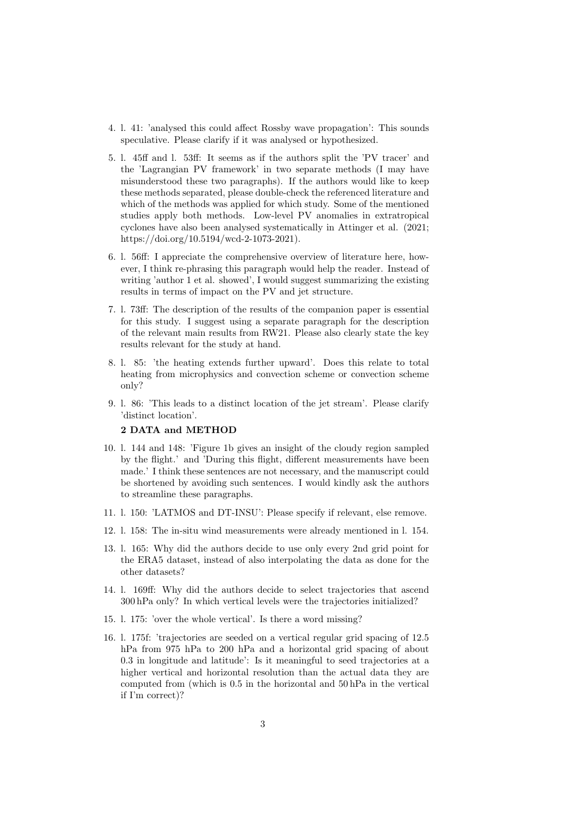- 4. l. 41: 'analysed this could affect Rossby wave propagation': This sounds speculative. Please clarify if it was analysed or hypothesized.
- 5. l. 45ff and l. 53ff: It seems as if the authors split the 'PV tracer' and the 'Lagrangian PV framework' in two separate methods (I may have misunderstood these two paragraphs). If the authors would like to keep these methods separated, please double-check the referenced literature and which of the methods was applied for which study. Some of the mentioned studies apply both methods. Low-level PV anomalies in extratropical cyclones have also been analysed systematically in Attinger et al. (2021; https://doi.org/10.5194/wcd-2-1073-2021).
- 6. l. 56ff: I appreciate the comprehensive overview of literature here, however, I think re-phrasing this paragraph would help the reader. Instead of writing 'author 1 et al. showed'. I would suggest summarizing the existing results in terms of impact on the PV and jet structure.
- 7. l. 73ff: The description of the results of the companion paper is essential for this study. I suggest using a separate paragraph for the description of the relevant main results from RW21. Please also clearly state the key results relevant for the study at hand.
- 8. l. 85: 'the heating extends further upward'. Does this relate to total heating from microphysics and convection scheme or convection scheme only?
- 9. l. 86: 'This leads to a distinct location of the jet stream'. Please clarify 'distinct location'.

### 2 DATA and METHOD

- 10. l. 144 and 148: 'Figure 1b gives an insight of the cloudy region sampled by the flight.' and 'During this flight, different measurements have been made.' I think these sentences are not necessary, and the manuscript could be shortened by avoiding such sentences. I would kindly ask the authors to streamline these paragraphs.
- 11. l. 150: 'LATMOS and DT-INSU': Please specify if relevant, else remove.
- 12. l. 158: The in-situ wind measurements were already mentioned in l. 154.
- 13. l. 165: Why did the authors decide to use only every 2nd grid point for the ERA5 dataset, instead of also interpolating the data as done for the other datasets?
- 14. l. 169ff: Why did the authors decide to select trajectories that ascend 300 hPa only? In which vertical levels were the trajectories initialized?
- 15. l. 175: 'over the whole vertical'. Is there a word missing?
- 16. l. 175f: 'trajectories are seeded on a vertical regular grid spacing of 12.5 hPa from 975 hPa to 200 hPa and a horizontal grid spacing of about 0.3 in longitude and latitude': Is it meaningful to seed trajectories at a higher vertical and horizontal resolution than the actual data they are computed from (which is 0.5 in the horizontal and 50 hPa in the vertical if I'm correct)?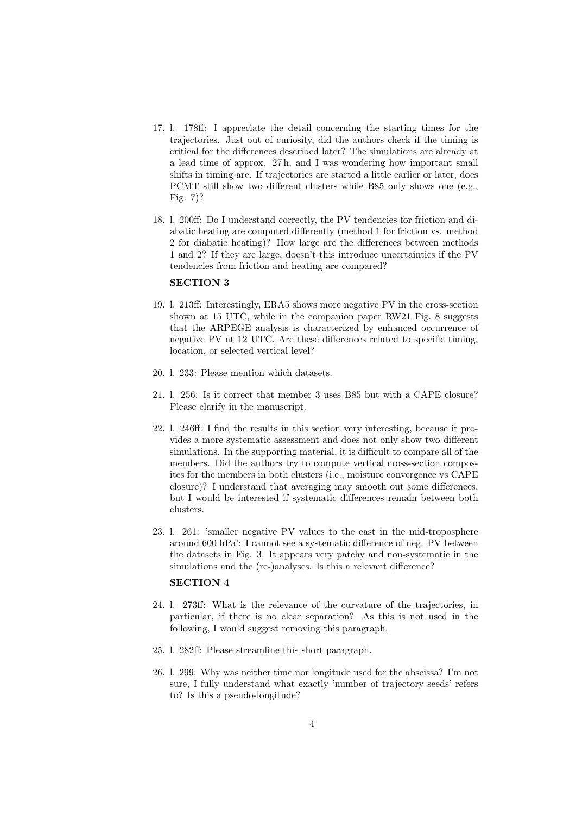- 17. l. 178ff: I appreciate the detail concerning the starting times for the trajectories. Just out of curiosity, did the authors check if the timing is critical for the differences described later? The simulations are already at a lead time of approx. 27 h, and I was wondering how important small shifts in timing are. If trajectories are started a little earlier or later, does PCMT still show two different clusters while B85 only shows one (e.g., Fig. 7)?
- 18. l. 200ff: Do I understand correctly, the PV tendencies for friction and diabatic heating are computed differently (method 1 for friction vs. method 2 for diabatic heating)? How large are the differences between methods 1 and 2? If they are large, doesn't this introduce uncertainties if the PV tendencies from friction and heating are compared?

#### SECTION 3

- 19. l. 213ff: Interestingly, ERA5 shows more negative PV in the cross-section shown at 15 UTC, while in the companion paper RW21 Fig. 8 suggests that the ARPEGE analysis is characterized by enhanced occurrence of negative PV at 12 UTC. Are these differences related to specific timing, location, or selected vertical level?
- 20. l. 233: Please mention which datasets.
- 21. l. 256: Is it correct that member 3 uses B85 but with a CAPE closure? Please clarify in the manuscript.
- 22. l. 246ff: I find the results in this section very interesting, because it provides a more systematic assessment and does not only show two different simulations. In the supporting material, it is difficult to compare all of the members. Did the authors try to compute vertical cross-section composites for the members in both clusters (i.e., moisture convergence vs CAPE closure)? I understand that averaging may smooth out some differences, but I would be interested if systematic differences remain between both clusters.
- 23. l. 261: 'smaller negative PV values to the east in the mid-troposphere around 600 hPa': I cannot see a systematic difference of neg. PV between the datasets in Fig. 3. It appears very patchy and non-systematic in the simulations and the (re-)analyses. Is this a relevant difference?

#### SECTION 4

- 24. l. 273ff: What is the relevance of the curvature of the trajectories, in particular, if there is no clear separation? As this is not used in the following, I would suggest removing this paragraph.
- 25. l. 282ff: Please streamline this short paragraph.
- 26. l. 299: Why was neither time nor longitude used for the abscissa? I'm not sure, I fully understand what exactly 'number of trajectory seeds' refers to? Is this a pseudo-longitude?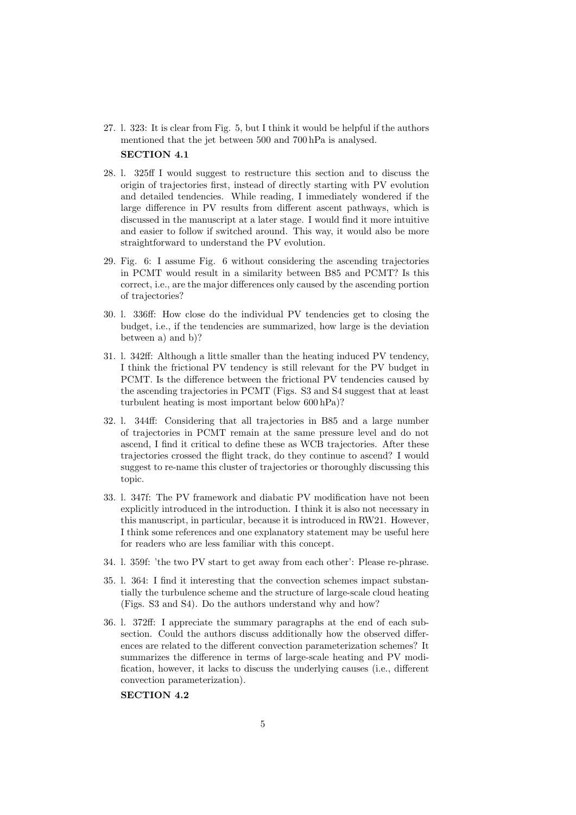27. l. 323: It is clear from Fig. 5, but I think it would be helpful if the authors mentioned that the jet between 500 and 700 hPa is analysed. SECTION 4.1

### 28. l. 325ff I would suggest to restructure this section and to discuss the origin of trajectories first, instead of directly starting with PV evolution and detailed tendencies. While reading, I immediately wondered if the large difference in PV results from different ascent pathways, which is discussed in the manuscript at a later stage. I would find it more intuitive and easier to follow if switched around. This way, it would also be more straightforward to understand the PV evolution.

- 29. Fig. 6: I assume Fig. 6 without considering the ascending trajectories in PCMT would result in a similarity between B85 and PCMT? Is this correct, i.e., are the major differences only caused by the ascending portion of trajectories?
- 30. l. 336ff: How close do the individual PV tendencies get to closing the budget, i.e., if the tendencies are summarized, how large is the deviation between a) and b)?
- 31. l. 342ff: Although a little smaller than the heating induced PV tendency, I think the frictional PV tendency is still relevant for the PV budget in PCMT. Is the difference between the frictional PV tendencies caused by the ascending trajectories in PCMT (Figs. S3 and S4 suggest that at least turbulent heating is most important below 600 hPa)?
- 32. l. 344ff: Considering that all trajectories in B85 and a large number of trajectories in PCMT remain at the same pressure level and do not ascend, I find it critical to define these as WCB trajectories. After these trajectories crossed the flight track, do they continue to ascend? I would suggest to re-name this cluster of trajectories or thoroughly discussing this topic.
- 33. l. 347f: The PV framework and diabatic PV modification have not been explicitly introduced in the introduction. I think it is also not necessary in this manuscript, in particular, because it is introduced in RW21. However, I think some references and one explanatory statement may be useful here for readers who are less familiar with this concept.
- 34. l. 359f: 'the two PV start to get away from each other': Please re-phrase.
- 35. l. 364: I find it interesting that the convection schemes impact substantially the turbulence scheme and the structure of large-scale cloud heating (Figs. S3 and S4). Do the authors understand why and how?
- 36. l. 372ff: I appreciate the summary paragraphs at the end of each subsection. Could the authors discuss additionally how the observed differences are related to the different convection parameterization schemes? It summarizes the difference in terms of large-scale heating and PV modification, however, it lacks to discuss the underlying causes (i.e., different convection parameterization).

#### SECTION 4.2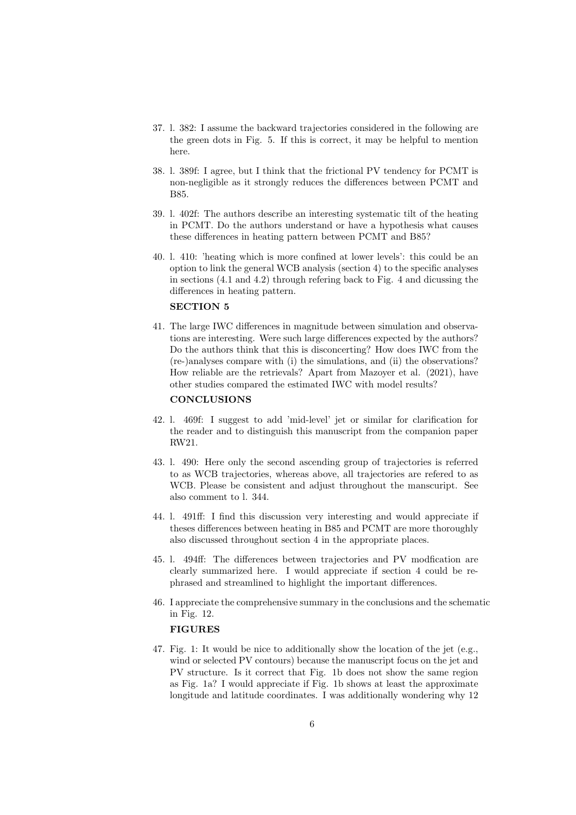- 37. l. 382: I assume the backward trajectories considered in the following are the green dots in Fig. 5. If this is correct, it may be helpful to mention here.
- 38. l. 389f: I agree, but I think that the frictional PV tendency for PCMT is non-negligible as it strongly reduces the differences between PCMT and B85.
- 39. l. 402f: The authors describe an interesting systematic tilt of the heating in PCMT. Do the authors understand or have a hypothesis what causes these differences in heating pattern between PCMT and B85?
- 40. l. 410: 'heating which is more confined at lower levels': this could be an option to link the general WCB analysis (section 4) to the specific analyses in sections (4.1 and 4.2) through refering back to Fig. 4 and dicussing the differences in heating pattern.

#### SECTION 5

41. The large IWC differences in magnitude between simulation and observations are interesting. Were such large differences expected by the authors? Do the authors think that this is disconcerting? How does IWC from the (re-)analyses compare with (i) the simulations, and (ii) the observations? How reliable are the retrievals? Apart from Mazoyer et al. (2021), have other studies compared the estimated IWC with model results?

#### **CONCLUSIONS**

- 42. l. 469f: I suggest to add 'mid-level' jet or similar for clarification for the reader and to distinguish this manuscript from the companion paper RW21.
- 43. l. 490: Here only the second ascending group of trajectories is referred to as WCB trajectories, whereas above, all trajectories are refered to as WCB. Please be consistent and adjust throughout the manscuript. See also comment to l. 344.
- 44. l. 491ff: I find this discussion very interesting and would appreciate if theses differences between heating in B85 and PCMT are more thoroughly also discussed throughout section 4 in the appropriate places.
- 45. l. 494ff: The differences between trajectories and PV modfication are clearly summarized here. I would appreciate if section 4 could be rephrased and streamlined to highlight the important differences.
- 46. I appreciate the comprehensive summary in the conclusions and the schematic in Fig. 12.

#### FIGURES

47. Fig. 1: It would be nice to additionally show the location of the jet (e.g., wind or selected PV contours) because the manuscript focus on the jet and PV structure. Is it correct that Fig. 1b does not show the same region as Fig. 1a? I would appreciate if Fig. 1b shows at least the approximate longitude and latitude coordinates. I was additionally wondering why 12